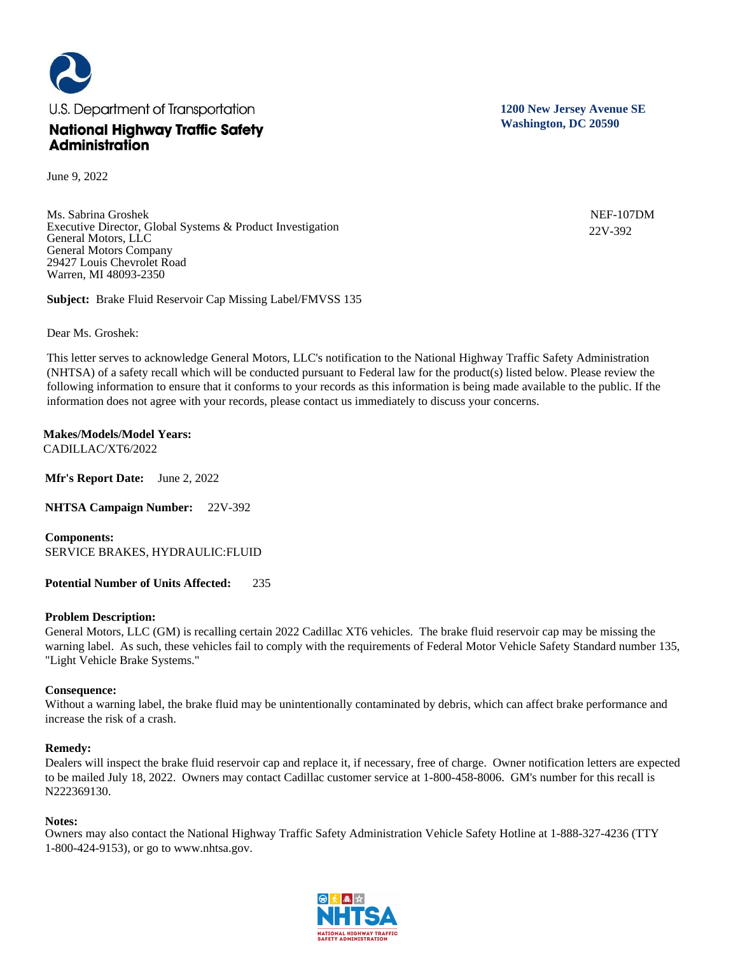

June 9, 2022

Ms. Sabrina Groshek Executive Director, Global Systems & Product Investigation General Motors, LLC General Motors Company 29427 Louis Chevrolet Road Warren, MI 48093-2350

**Subject:** Brake Fluid Reservoir Cap Missing Label/FMVSS 135

Dear Ms. Groshek:

This letter serves to acknowledge General Motors, LLC's notification to the National Highway Traffic Safety Administration (NHTSA) of a safety recall which will be conducted pursuant to Federal law for the product(s) listed below. Please review the following information to ensure that it conforms to your records as this information is being made available to the public. If the information does not agree with your records, please contact us immediately to discuss your concerns.

**Makes/Models/Model Years:**  CADILLAC/XT6/2022

**Mfr's Report Date:** June 2, 2022

**NHTSA Campaign Number:** 22V-392

**Components:**  SERVICE BRAKES, HYDRAULIC:FLUID

**Potential Number of Units Affected:** 235

## **Problem Description:**

General Motors, LLC (GM) is recalling certain 2022 Cadillac XT6 vehicles. The brake fluid reservoir cap may be missing the warning label. As such, these vehicles fail to comply with the requirements of Federal Motor Vehicle Safety Standard number 135, "Light Vehicle Brake Systems."

## **Consequence:**

Without a warning label, the brake fluid may be unintentionally contaminated by debris, which can affect brake performance and increase the risk of a crash.

## **Remedy:**

Dealers will inspect the brake fluid reservoir cap and replace it, if necessary, free of charge. Owner notification letters are expected to be mailed July 18, 2022. Owners may contact Cadillac customer service at 1-800-458-8006. GM's number for this recall is N222369130.

## **Notes:**

Owners may also contact the National Highway Traffic Safety Administration Vehicle Safety Hotline at 1-888-327-4236 (TTY 1-800-424-9153), or go to www.nhtsa.gov.



**1200 New Jersey Avenue SE Washington, DC 20590**

> NEF-107DM 22V-392